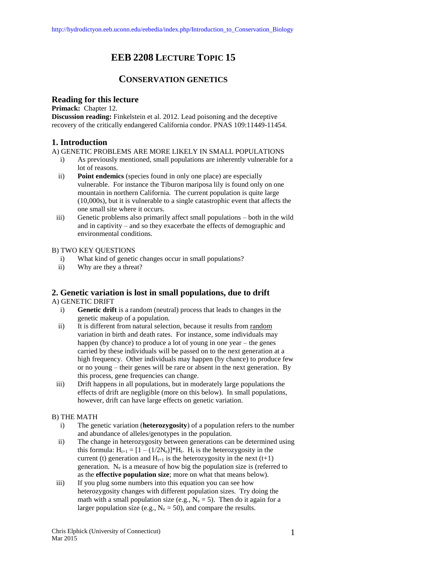# **EEB 2208 LECTURE TOPIC 15**

## **CONSERVATION GENETICS**

## **Reading for this lecture**

**Primack:** Chapter 12.

**Discussion reading:** Finkelstein et al. 2012. Lead poisoning and the deceptive recovery of the critically endangered California condor. PNAS 109:11449-11454.

## **1. Introduction**

A) GENETIC PROBLEMS ARE MORE LIKELY IN SMALL POPULATIONS

- i) As previously mentioned, small populations are inherently vulnerable for a lot of reasons.
- ii) **Point endemics** (species found in only one place) are especially vulnerable. For instance the Tiburon mariposa lily is found only on one mountain in northern California. The current population is quite large (10,000s), but it is vulnerable to a single catastrophic event that affects the one small site where it occurs.
- iii) Genetic problems also primarily affect small populations both in the wild and in captivity – and so they exacerbate the effects of demographic and environmental conditions.

## B) TWO KEY QUESTIONS

- i) What kind of genetic changes occur in small populations?
- ii) Why are they a threat?

## **2. Genetic variation is lost in small populations, due to drift**

#### A) GENETIC DRIFT

- i) **Genetic drift** is a random (neutral) process that leads to changes in the genetic makeup of a population.
- ii) It is different from natural selection, because it results from random variation in birth and death rates. For instance, some individuals may happen (by chance) to produce a lot of young in one year – the genes carried by these individuals will be passed on to the next generation at a high frequency. Other individuals may happen (by chance) to produce few or no young – their genes will be rare or absent in the next generation. By this process, gene frequencies can change.
- iii) Drift happens in all populations, but in moderately large populations the effects of drift are negligible (more on this below). In small populations, however, drift can have large effects on genetic variation.

#### B) THE MATH

- i) The genetic variation (**heterozygosity**) of a population refers to the number and abundance of alleles/genotypes in the population.
- ii) The change in heterozygosity between generations can be determined using this formula:  $H_{t+1} = [1 - (1/2N_e)]^*H_t$ . H<sub>t</sub> is the heterozygosity in the current (t) generation and  $H_{t+1}$  is the heterozygosity in the next (t+1) generation.  $N_e$  is a measure of how big the population size is (referred to as the **effective population size**; more on what that means below).
- iii) If you plug some numbers into this equation you can see how heterozygosity changes with different population sizes. Try doing the math with a small population size (e.g.,  $N_e = 5$ ). Then do it again for a larger population size (e.g.,  $N_e = 50$ ), and compare the results.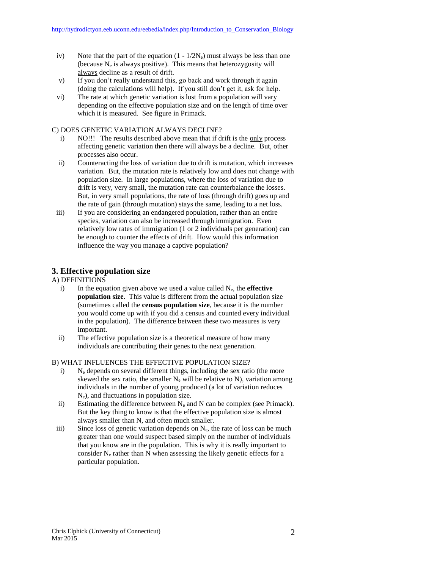- iv) Note that the part of the equation  $(1 1/2N_e)$  must always be less than one (because  $N_e$  is always positive). This means that heterozygosity will always decline as a result of drift.
- v) If you don't really understand this, go back and work through it again (doing the calculations will help). If you still don't get it, ask for help.
- vi) The rate at which genetic variation is lost from a population will vary depending on the effective population size and on the length of time over which it is measured. See figure in Primack.

#### C) DOES GENETIC VARIATION ALWAYS DECLINE?

- i) NO!!! The results described above mean that if drift is the only process affecting genetic variation then there will always be a decline. But, other processes also occur.
- ii) Counteracting the loss of variation due to drift is mutation, which increases variation. But, the mutation rate is relatively low and does not change with population size. In large populations, where the loss of variation due to drift is very, very small, the mutation rate can counterbalance the losses. But, in very small populations, the rate of loss (through drift) goes up and the rate of gain (through mutation) stays the same, leading to a net loss.
- iii) If you are considering an endangered population, rather than an entire species, variation can also be increased through immigration. Even relatively low rates of immigration (1 or 2 individuals per generation) can be enough to counter the effects of drift. How would this information influence the way you manage a captive population?

## **3. Effective population size**

#### A) DEFINITIONS

- i) In the equation given above we used a value called  $N_e$ , the **effective population size**. This value is different from the actual population size (sometimes called the **census population size**, because it is the number you would come up with if you did a census and counted every individual in the population). The difference between these two measures is very important.
- ii) The effective population size is a theoretical measure of how many individuals are contributing their genes to the next generation.

#### B) WHAT INFLUENCES THE EFFECTIVE POPULATION SIZE?

- i) N<sup>e</sup> depends on several different things, including the sex ratio (the more skewed the sex ratio, the smaller  $N_e$  will be relative to N), variation among individuals in the number of young produced (a lot of variation reduces Ne), and fluctuations in population size.
- ii) Estimating the difference between  $N_e$  and N can be complex (see Primack). But the key thing to know is that the effective population size is almost always smaller than N, and often much smaller.
- iii) Since loss of genetic variation depends on  $N_{e}$ , the rate of loss can be much greater than one would suspect based simply on the number of individuals that you know are in the population. This is why it is really important to consider  $N_e$  rather than N when assessing the likely genetic effects for a particular population.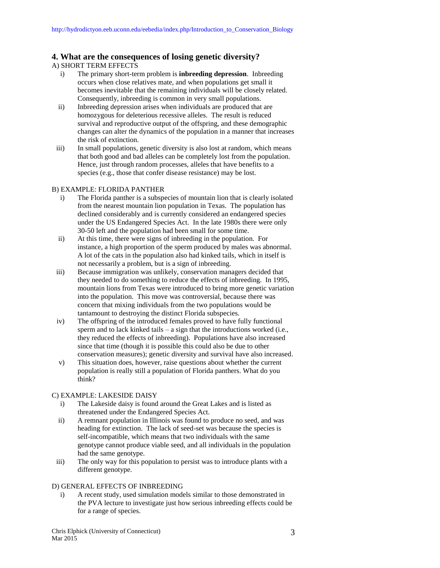## **4. What are the consequences of losing genetic diversity?**

#### A) SHORT TERM EFFECTS

- i) The primary short-term problem is **inbreeding depression**. Inbreeding occurs when close relatives mate, and when populations get small it becomes inevitable that the remaining individuals will be closely related. Consequently, inbreeding is common in very small populations.
- ii) Inbreeding depression arises when individuals are produced that are homozygous for deleterious recessive alleles. The result is reduced survival and reproductive output of the offspring, and these demographic changes can alter the dynamics of the population in a manner that increases the risk of extinction.
- iii) In small populations, genetic diversity is also lost at random, which means that both good and bad alleles can be completely lost from the population. Hence, just through random processes, alleles that have benefits to a species (e.g., those that confer disease resistance) may be lost.

#### B) EXAMPLE: FLORIDA PANTHER

- i) The Florida panther is a subspecies of mountain lion that is clearly isolated from the nearest mountain lion population in Texas. The population has declined considerably and is currently considered an endangered species under the US Endangered Species Act. In the late 1980s there were only 30-50 left and the population had been small for some time.
- ii) At this time, there were signs of inbreeding in the population. For instance, a high proportion of the sperm produced by males was abnormal. A lot of the cats in the population also had kinked tails, which in itself is not necessarily a problem, but is a sign of inbreeding.
- iii) Because immigration was unlikely, conservation managers decided that they needed to do something to reduce the effects of inbreeding. In 1995, mountain lions from Texas were introduced to bring more genetic variation into the population. This move was controversial, because there was concern that mixing individuals from the two populations would be tantamount to destroying the distinct Florida subspecies.
- iv) The offspring of the introduced females proved to have fully functional sperm and to lack kinked tails – a sign that the introductions worked (i.e., they reduced the effects of inbreeding). Populations have also increased since that time (though it is possible this could also be due to other conservation measures); genetic diversity and survival have also increased.
- v) This situation does, however, raise questions about whether the current population is really still a population of Florida panthers. What do you think?

#### C) EXAMPLE: LAKESIDE DAISY

- i) The Lakeside daisy is found around the Great Lakes and is listed as threatened under the Endangered Species Act.
- ii) A remnant population in Illinois was found to produce no seed, and was heading for extinction. The lack of seed-set was because the species is self-incompatible, which means that two individuals with the same genotype cannot produce viable seed, and all individuals in the population had the same genotype.
- iii) The only way for this population to persist was to introduce plants with a different genotype.

#### D) GENERAL EFFECTS OF INBREEDING

i) A recent study, used simulation models similar to those demonstrated in the PVA lecture to investigate just how serious inbreeding effects could be for a range of species.

Chris Elphick (University of Connecticut) Mar 2015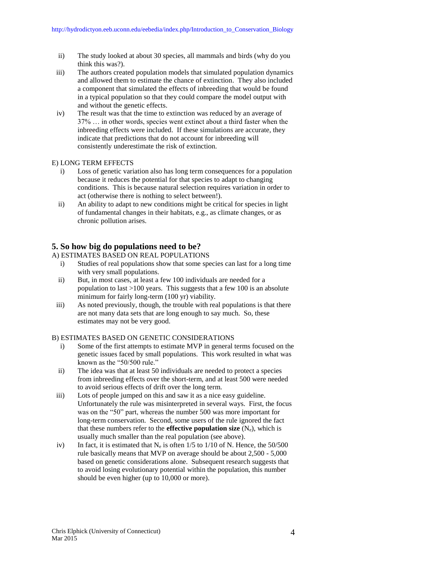- ii) The study looked at about 30 species, all mammals and birds (why do you think this was?).
- iii) The authors created population models that simulated population dynamics and allowed them to estimate the chance of extinction. They also included a component that simulated the effects of inbreeding that would be found in a typical population so that they could compare the model output with and without the genetic effects.
- iv) The result was that the time to extinction was reduced by an average of 37% … in other words, species went extinct about a third faster when the inbreeding effects were included. If these simulations are accurate, they indicate that predictions that do not account for inbreeding will consistently underestimate the risk of extinction.

#### E) LONG TERM EFFECTS

- i) Loss of genetic variation also has long term consequences for a population because it reduces the potential for that species to adapt to changing conditions. This is because natural selection requires variation in order to act (otherwise there is nothing to select between!).
- ii) An ability to adapt to new conditions might be critical for species in light of fundamental changes in their habitats, e.g., as climate changes, or as chronic pollution arises.

## **5. So how big do populations need to be?**

#### A) ESTIMATES BASED ON REAL POPULATIONS

- i) Studies of real populations show that some species can last for a long time with very small populations.
- ii) But, in most cases, at least a few 100 individuals are needed for a population to last >100 years. This suggests that a few 100 is an absolute minimum for fairly long-term (100 yr) viability.
- iii) As noted previously, though, the trouble with real populations is that there are not many data sets that are long enough to say much. So, these estimates may not be very good.

#### B) ESTIMATES BASED ON GENETIC CONSIDERATIONS

- i) Some of the first attempts to estimate MVP in general terms focused on the genetic issues faced by small populations. This work resulted in what was known as the "50/500 rule."
- ii) The idea was that at least 50 individuals are needed to protect a species from inbreeding effects over the short-term, and at least 500 were needed to avoid serious effects of drift over the long term.
- iii) Lots of people jumped on this and saw it as a nice easy guideline. Unfortunately the rule was misinterpreted in several ways. First, the focus was on the "50" part, whereas the number 500 was more important for long-term conservation. Second, some users of the rule ignored the fact that these numbers refer to the **effective population size**  $(N_e)$ , which is usually much smaller than the real population (see above).
- iv) In fact, it is estimated that  $N_e$  is often 1/5 to 1/10 of N. Hence, the 50/500 rule basically means that MVP on average should be about 2,500 - 5,000 based on genetic considerations alone. Subsequent research suggests that to avoid losing evolutionary potential within the population, this number should be even higher (up to 10,000 or more).